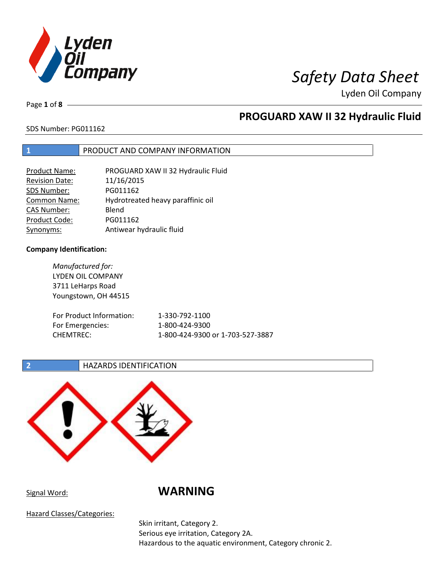

Page **1** of **8**

# **PROGUARD XAW II 32 Hydraulic Fluid**

## SDS Number: PG011162

## **1** PRODUCT AND COMPANY INFORMATION

| <b>Product Name:</b>  | PROGUARD XAW II 32 Hydraulic Fluid |
|-----------------------|------------------------------------|
| <b>Revision Date:</b> | 11/16/2015                         |
| SDS Number:           | PG011162                           |
| Common Name:          | Hydrotreated heavy paraffinic oil  |
| <b>CAS Number:</b>    | Blend                              |
| Product Code:         | PG011162                           |
| Synonyms:             | Antiwear hydraulic fluid           |

## **Company Identification:**

*Manufactured for:* LYDEN OIL COMPANY 3711 LeHarps Road Youngstown, OH 44515 For Product Information: 1-330-792-1100 For Emergencies: 1-800-424-9300 CHEMTREC: 1-800-424-9300 or 1-703-527-3887

## **2 HAZARDS IDENTIFICATION**



Signal Word: **WARNING**

Hazard Classes/Categories:

Skin irritant, Category 2. Serious eye irritation, Category 2A. Hazardous to the aquatic environment, Category chronic 2.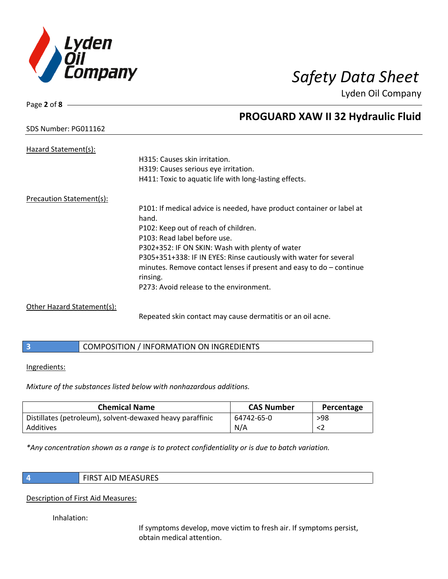

Page **2** of **8**

# **PROGUARD XAW II 32 Hydraulic Fluid**

## SDS Number: PG011162

| Hazard Statement(s):       |                                                                       |
|----------------------------|-----------------------------------------------------------------------|
|                            | H315: Causes skin irritation.                                         |
|                            | H319: Causes serious eye irritation.                                  |
|                            | H411: Toxic to aquatic life with long-lasting effects.                |
| Precaution Statement(s):   |                                                                       |
|                            | P101: If medical advice is needed, have product container or label at |
|                            | hand.                                                                 |
|                            | P102: Keep out of reach of children.                                  |
|                            | P103: Read label before use.                                          |
|                            | P302+352: IF ON SKIN: Wash with plenty of water                       |
|                            | P305+351+338: IF IN EYES: Rinse cautiously with water for several     |
|                            | minutes. Remove contact lenses if present and easy to $do$ – continue |
|                            | rinsing.                                                              |
|                            | P273: Avoid release to the environment.                               |
| Other Hazard Statement(s): |                                                                       |

Repeated skin contact may cause dermatitis or an oil acne.

## **3** COMPOSITION / INFORMATION ON INGREDIENTS

## Ingredients:

*Mixture of the substances listed below with nonhazardous additions.*

| <b>Chemical Name</b>                                      | <b>CAS Number</b> | Percentage |
|-----------------------------------------------------------|-------------------|------------|
| Distillates (petroleum), solvent-dewaxed heavy paraffinic | 64742-65-0        | $>98$      |
| Additives                                                 | N/A               |            |

*\*Any concentration shown as a range is to protect confidentiality or is due to batch variation.*

**4** FIRST AID MEASURES

## Description of First Aid Measures:

Inhalation:

If symptoms develop, move victim to fresh air. If symptoms persist, obtain medical attention.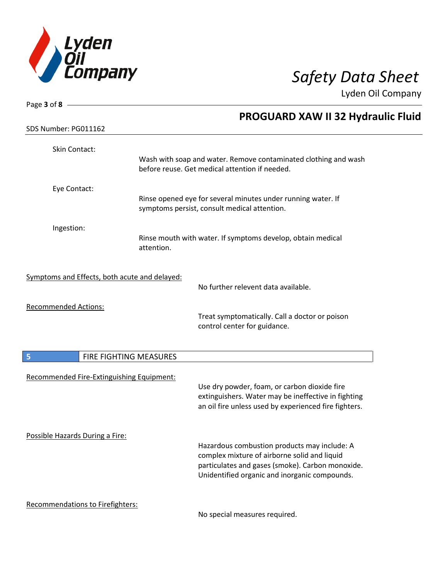

| Page 3 of 8 -                                 |                        |                                                                                                                                                                                                   |
|-----------------------------------------------|------------------------|---------------------------------------------------------------------------------------------------------------------------------------------------------------------------------------------------|
|                                               |                        | <b>PROGUARD XAW II 32 Hydraulic Fluid</b>                                                                                                                                                         |
| SDS Number: PG011162                          |                        |                                                                                                                                                                                                   |
| Skin Contact:                                 |                        | Wash with soap and water. Remove contaminated clothing and wash<br>before reuse. Get medical attention if needed.                                                                                 |
| Eye Contact:                                  |                        | Rinse opened eye for several minutes under running water. If<br>symptoms persist, consult medical attention.                                                                                      |
| Ingestion:                                    | attention.             | Rinse mouth with water. If symptoms develop, obtain medical                                                                                                                                       |
| Symptoms and Effects, both acute and delayed: |                        | No further relevent data available.                                                                                                                                                               |
| <b>Recommended Actions:</b>                   |                        | Treat symptomatically. Call a doctor or poison<br>control center for guidance.                                                                                                                    |
| 5                                             | FIRE FIGHTING MEASURES |                                                                                                                                                                                                   |
| Recommended Fire-Extinguishing Equipment:     |                        | Use dry powder, foam, or carbon dioxide fire<br>extinguishers. Water may be ineffective in fighting<br>an oil fire unless used by experienced fire fighters.                                      |
| Possible Hazards During a Fire:               |                        | Hazardous combustion products may include: A<br>complex mixture of airborne solid and liquid<br>particulates and gases (smoke). Carbon monoxide.<br>Unidentified organic and inorganic compounds. |
| Recommendations to Firefighters:              |                        |                                                                                                                                                                                                   |

No special measures required.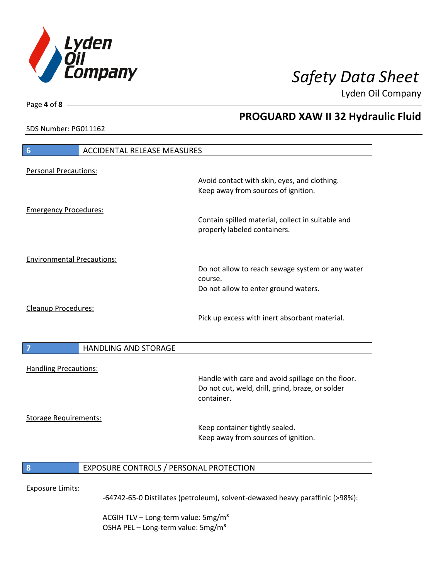

**PROGUARD XAW II 32 Hydraulic Fluid**

Lyden Oil Company

SDS Number: PG011162

Page **4** of **8**

# **6** ACCIDENTAL RELEASE MEASURES Personal Precautions: Avoid contact with skin, eyes, and clothing. Keep away from sources of ignition. Emergency Procedures: Contain spilled material, collect in suitable and properly labeled containers. Environmental Precautions: Do not allow to reach sewage system or any water course. Do not allow to enter ground waters. Cleanup Procedures: Pick up excess with inert absorbant material. **7 HANDLING AND STORAGE** Handling Precautions: Handle with care and avoid spillage on the floor. Do not cut, weld, drill, grind, braze, or solder container. Storage Requirements: Keep container tightly sealed. Keep away from sources of ignition. **8** EXPOSURE CONTROLS / PERSONAL PROTECTION Exposure Limits: -64742-65-0 Distillates (petroleum), solvent-dewaxed heavy paraffinic (>98%):

ACGIH TLV – Long-term value:  $5\,\text{mg/m}^3$ OSHA PEL - Long-term value: 5mg/m<sup>3</sup>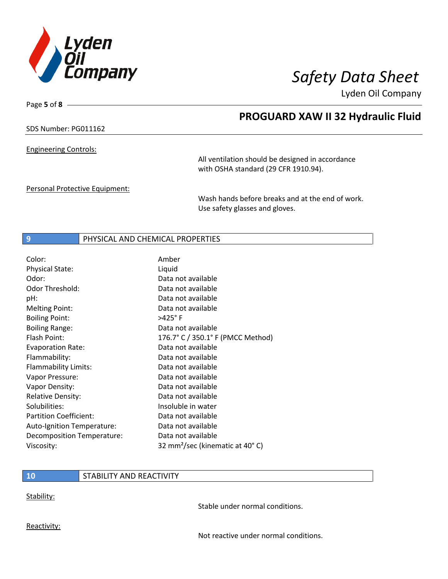

**PROGUARD XAW II 32 Hydraulic Fluid**

Lyden Oil Company

SDS Number: PG011162

Page **5** of **8**

Engineering Controls:

All ventilation should be designed in accordance with OSHA standard (29 CFR 1910.94).

Personal Protective Equipment:

Wash hands before breaks and at the end of work. Use safety glasses and gloves.

## **9** PHYSICAL AND CHEMICAL PROPERTIES

| Color:                        | Amber                                       |
|-------------------------------|---------------------------------------------|
| <b>Physical State:</b>        | Liquid                                      |
| Odor:                         | Data not available                          |
| Odor Threshold:               | Data not available                          |
| pH:                           | Data not available                          |
| <b>Melting Point:</b>         | Data not available                          |
| <b>Boiling Point:</b>         | $>425^\circ$ F                              |
| <b>Boiling Range:</b>         | Data not available                          |
| Flash Point:                  | 176.7° C / 350.1° F (PMCC Method)           |
| <b>Evaporation Rate:</b>      | Data not available                          |
| Flammability:                 | Data not available                          |
| Flammability Limits:          | Data not available                          |
| Vapor Pressure:               | Data not available                          |
| Vapor Density:                | Data not available                          |
| <b>Relative Density:</b>      | Data not available                          |
| Solubilities:                 | Insoluble in water                          |
| <b>Partition Coefficient:</b> | Data not available                          |
| Auto-Ignition Temperature:    | Data not available                          |
| Decomposition Temperature:    | Data not available                          |
| Viscosity:                    | 32 mm <sup>2</sup> /sec (kinematic at 40°C) |

## **10** STABILITY AND REACTIVITY

Stability:

Stable under normal conditions.

Reactivity:

Not reactive under normal conditions.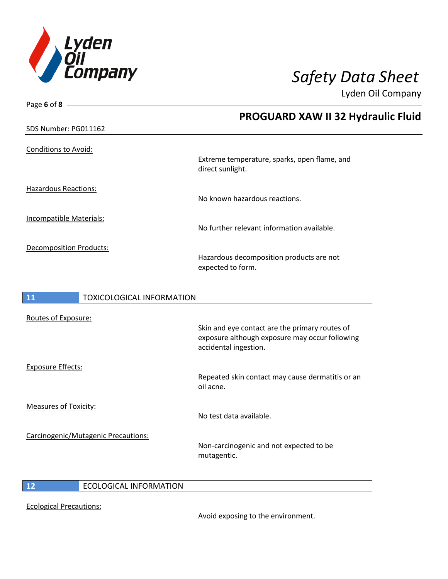

Page **6** of **8**

Lyden Oil Company

|                                        | <b>PROGUARD XAW II 32 Hydraulic Fluid</b>                                                                                 |
|----------------------------------------|---------------------------------------------------------------------------------------------------------------------------|
| SDS Number: PG011162                   |                                                                                                                           |
| Conditions to Avoid:                   | Extreme temperature, sparks, open flame, and<br>direct sunlight.                                                          |
| <b>Hazardous Reactions:</b>            | No known hazardous reactions.                                                                                             |
| Incompatible Materials:                | No further relevant information available.                                                                                |
| <b>Decomposition Products:</b>         | Hazardous decomposition products are not<br>expected to form.                                                             |
| 11<br><b>TOXICOLOGICAL INFORMATION</b> |                                                                                                                           |
| Routes of Exposure:                    | Skin and eye contact are the primary routes of<br>exposure although exposure may occur following<br>accidental ingestion. |
| <b>Exposure Effects:</b>               | Repeated skin contact may cause dermatitis or an                                                                          |

oil acne.

No test data available.

Measures of Toxicity:

Carcinogenic/Mutagenic Precautions:

Non-carcinogenic and not expected to be mutagentic.

**12** ECOLOGICAL INFORMATION

Ecological Precautions:

Avoid exposing to the environment.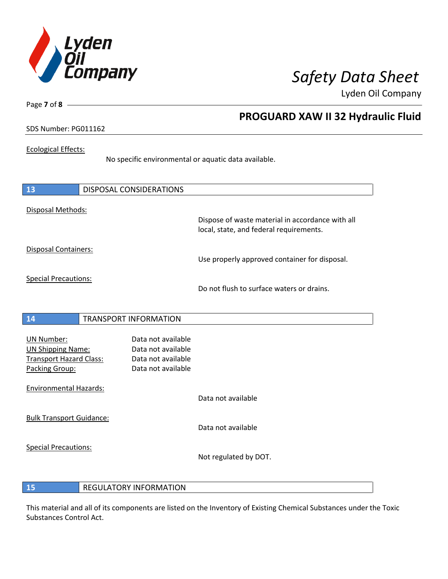

Page **7** of **8**

# **PROGUARD XAW II 32 Hydraulic Fluid**

## SDS Number: PG011162

## Ecological Effects:

No specific environmental or aquatic data available.

| 13                                                                                                | <b>DISPOSAL CONSIDERATIONS</b>                                                       |                                                                                             |
|---------------------------------------------------------------------------------------------------|--------------------------------------------------------------------------------------|---------------------------------------------------------------------------------------------|
| Disposal Methods:                                                                                 |                                                                                      | Dispose of waste material in accordance with all<br>local, state, and federal requirements. |
| Disposal Containers:                                                                              |                                                                                      | Use properly approved container for disposal.                                               |
| <b>Special Precautions:</b>                                                                       |                                                                                      | Do not flush to surface waters or drains.                                                   |
| 14                                                                                                | <b>TRANSPORT INFORMATION</b>                                                         |                                                                                             |
| <b>UN Number:</b><br><b>UN Shipping Name:</b><br><b>Transport Hazard Class:</b><br>Packing Group: | Data not available<br>Data not available<br>Data not available<br>Data not available |                                                                                             |
| <b>Environmental Hazards:</b>                                                                     |                                                                                      | Data not available                                                                          |
| <b>Bulk Transport Guidance:</b>                                                                   |                                                                                      | Data not available                                                                          |
| <b>Special Precautions:</b>                                                                       |                                                                                      | Not regulated by DOT.                                                                       |

## **15** REGULATORY INFORMATION

This material and all of its components are listed on the Inventory of Existing Chemical Substances under the Toxic Substances Control Act.